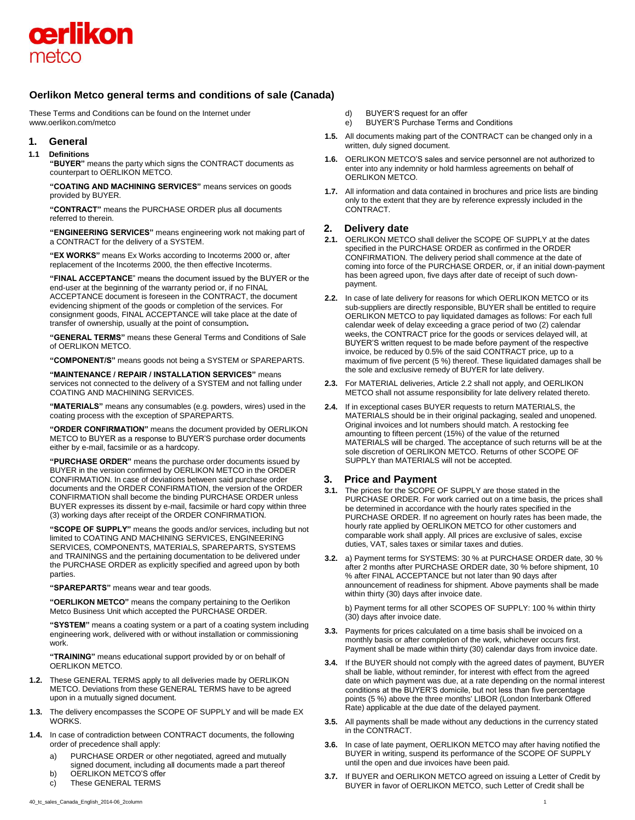

# **Oerlikon Metco general terms and conditions of sale (Canada)**

These Terms and Conditions can be found on the Internet under [www.oerlikon.com/metco](http://www.oerlikon.com/metco)

# **1. General**

#### **1.1 Definitions**

**"BUYER"** means the party which signs the CONTRACT documents as counterpart to OERLIKON METCO.

**"COATING AND MACHINING SERVICES"** means services on goods provided by BUYER.

**"CONTRACT"** means the PURCHASE ORDER plus all documents referred to therein.

**"ENGINEERING SERVICES"** means engineering work not making part of a CONTRACT for the delivery of a SYSTEM.

**"EX WORKS"** means Ex Works according to Incoterms 2000 or, after replacement of the Incoterms 2000, the then effective Incoterms.

**"FINAL ACCEPTANCE**" means the document issued by the BUYER or the end-user at the beginning of the warranty period or, if no FINAL ACCEPTANCE document is foreseen in the CONTRACT, the document evidencing shipment of the goods or completion of the services. For consignment goods, FINAL ACCEPTANCE will take place at the date of transfer of ownership, usually at the point of consumption**.**

**"GENERAL TERMS"** means these General Terms and Conditions of Sale of OERLIKON METCO.

**"COMPONENT/S"** means goods not being a SYSTEM or SPAREPARTS.

**"MAINTENANCE / REPAIR / INSTALLATION SERVICES"** means services not connected to the delivery of a SYSTEM and not falling under COATING AND MACHINING SERVICES.

**"MATERIALS"** means any consumables (e.g. powders, wires) used in the coating process with the exception of SPAREPARTS.

**"ORDER CONFIRMATION"** means the document provided by OERLIKON METCO to BUYER as a response to BUYER'S purchase order documents either by e-mail, facsimile or as a hardcopy.

**"PURCHASE ORDER"** means the purchase order documents issued by BUYER in the version confirmed by OERLIKON METCO in the ORDER CONFIRMATION. In case of deviations between said purchase order documents and the ORDER CONFIRMATION, the version of the ORDER CONFIRMATION shall become the binding PURCHASE ORDER unless BUYER expresses its dissent by e-mail, facsimile or hard copy within three (3) working days after receipt of the ORDER CONFIRMATION.

**"SCOPE OF SUPPLY"** means the goods and/or services, including but not limited to COATING AND MACHINING SERVICES, ENGINEERING SERVICES, COMPONENTS, MATERIALS, SPAREPARTS, SYSTEMS and TRAININGS and the pertaining documentation to be delivered under the PURCHASE ORDER as explicitly specified and agreed upon by both parties.

**"SPAREPARTS"** means wear and tear goods.

**"OERLIKON METCO"** means the company pertaining to the Oerlikon Metco Business Unit which accepted the PURCHASE ORDER.

**"SYSTEM"** means a coating system or a part of a coating system including engineering work, delivered with or without installation or commissioning work.

**"TRAINING"** means educational support provided by or on behalf of OERLIKON METCO.

- **1.2.** These GENERAL TERMS apply to all deliveries made by OERLIKON METCO. Deviations from these GENERAL TERMS have to be agreed upon in a mutually signed document.
- **1.3.** The delivery encompasses the SCOPE OF SUPPLY and will be made EX WORKS.
- **1.4.** In case of contradiction between CONTRACT documents, the following order of precedence shall apply:
	- a) PURCHASE ORDER or other negotiated, agreed and mutually signed document, including all documents made a part thereof
	- b) OERLIKON METCO'S offer
	- c) These GENERAL TERMS
- d) BUYER'S request for an offer
- e) BUYER'S Purchase Terms and Conditions
- **1.5.** All documents making part of the CONTRACT can be changed only in a written, duly signed document.
- **1.6.** OERLIKON METCO'S sales and service personnel are not authorized to enter into any indemnity or hold harmless agreements on behalf of OERLIKON METCO.
- **1.7.** All information and data contained in brochures and price lists are binding only to the extent that they are by reference expressly included in the CONTRACT.

# **2. Delivery date**

- **2.1.** OERLIKON METCO shall deliver the SCOPE OF SUPPLY at the dates specified in the PURCHASE ORDER as confirmed in the ORDER CONFIRMATION. The delivery period shall commence at the date of coming into force of the PURCHASE ORDER, or, if an initial down-payment has been agreed upon, five days after date of receipt of such downpayment.
- **2.2.** In case of late delivery for reasons for which OERLIKON METCO or its sub-suppliers are directly responsible, BUYER shall be entitled to require OERLIKON METCO to pay liquidated damages as follows: For each full calendar week of delay exceeding a grace period of two (2) calendar weeks, the CONTRACT price for the goods or services delayed will, at BUYER'S written request to be made before payment of the respective invoice, be reduced by 0.5% of the said CONTRACT price, up to a maximum of five percent (5 %) thereof. These liquidated damages shall be the sole and exclusive remedy of BUYER for late delivery.
- **2.3.** For MATERIAL deliveries, Article 2.2 shall not apply, and OERLIKON METCO shall not assume responsibility for late delivery related thereto.
- **2.4.** If in exceptional cases BUYER requests to return MATERIALS, the MATERIALS should be in their original packaging, sealed and unopened. Original invoices and lot numbers should match. A restocking fee amounting to fifteen percent (15%) of the value of the returned MATERIALS will be charged. The acceptance of such returns will be at the sole discretion of OERLIKON METCO. Returns of other SCOPE OF SUPPLY than MATERIALS will not be accepted.

# **3. Price and Payment**

- **3.1.** The prices for the SCOPE OF SUPPLY are those stated in the PURCHASE ORDER. For work carried out on a time basis, the prices shall be determined in accordance with the hourly rates specified in the PURCHASE ORDER. If no agreement on hourly rates has been made, the hourly rate applied by OERLIKON METCO for other customers and comparable work shall apply. All prices are exclusive of sales, excise duties, VAT, sales taxes or similar taxes and duties.
- **3.2.** a) Payment terms for SYSTEMS: 30 % at PURCHASE ORDER date, 30 % after 2 months after PURCHASE ORDER date, 30 % before shipment, 10 % after FINAL ACCEPTANCE but not later than 90 days after announcement of readiness for shipment. Above payments shall be made within thirty (30) days after invoice date.

b) Payment terms for all other SCOPES OF SUPPLY: 100 % within thirty (30) days after invoice date.

- **3.3.** Payments for prices calculated on a time basis shall be invoiced on a monthly basis or after completion of the work, whichever occurs first. Payment shall be made within thirty (30) calendar days from invoice date.
- **3.4.** If the BUYER should not comply with the agreed dates of payment, BUYER shall be liable, without reminder, for interest with effect from the agreed date on which payment was due, at a rate depending on the normal interest conditions at the BUYER'S domicile, but not less than five percentage points (5 %) above the three months' LIBOR (London Interbank Offered Rate) applicable at the due date of the delayed payment.
- **3.5.** All payments shall be made without any deductions in the currency stated in the CONTRACT.
- **3.6.** In case of late payment, OERLIKON METCO may after having notified the BUYER in writing, suspend its performance of the SCOPE OF SUPPLY until the open and due invoices have been paid.
- **3.7.** If BUYER and OERLIKON METCO agreed on issuing a Letter of Credit by BUYER in favor of OERLIKON METCO, such Letter of Credit shall be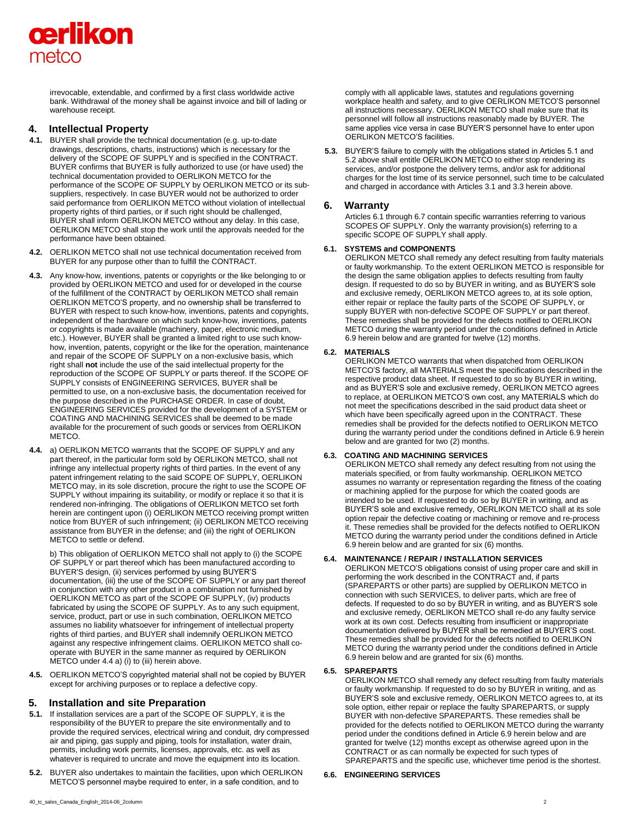

irrevocable, extendable, and confirmed by a first class worldwide active bank. Withdrawal of the money shall be against invoice and bill of lading or warehouse receipt.

# **4. Intellectual Property**

- **4.1.** BUYER shall provide the technical documentation (e.g. up-to-date drawings, descriptions, charts, instructions) which is necessary for the delivery of the SCOPE OF SUPPLY and is specified in the CONTRACT. BUYER confirms that BUYER is fully authorized to use (or have used) the technical documentation provided to OERLIKON METCO for the performance of the SCOPE OF SUPPLY by OERLIKON METCO or its subsuppliers, respectively. In case BUYER would not be authorized to order said performance from OERLIKON METCO without violation of intellectual property rights of third parties, or if such right should be challenged, BUYER shall inform OERLIKON METCO without any delay. In this case, OERLIKON METCO shall stop the work until the approvals needed for the performance have been obtained.
- **4.2.** OERLIKON METCO shall not use technical documentation received from BUYER for any purpose other than to fulfill the CONTRACT.
- **4.3.** Any know-how, inventions, patents or copyrights or the like belonging to or provided by OERLIKON METCO and used for or developed in the course of the fulfillment of the CONTRACT by OERLIKON METCO shall remain OERLIKON METCO'S property, and no ownership shall be transferred to BUYER with respect to such know-how, inventions, patents and copyrights, independent of the hardware on which such know-how, inventions, patents or copyrights is made available (machinery, paper, electronic medium, etc.). However, BUYER shall be granted a limited right to use such knowhow, invention, patents, copyright or the like for the operation, maintenance and repair of the SCOPE OF SUPPLY on a non-exclusive basis, which right shall **not** include the use of the said intellectual property for the reproduction of the SCOPE OF SUPPLY or parts thereof. If the SCOPE OF SUPPLY consists of ENGINEERING SERVICES, BUYER shall be permitted to use, on a non-exclusive basis, the documentation received for the purpose described in the PURCHASE ORDER. In case of doubt, ENGINEERING SERVICES provided for the development of a SYSTEM or COATING AND MACHINING SERVICES shall be deemed to be made available for the procurement of such goods or services from OERLIKON METCO.
- **4.4.** a) OERLIKON METCO warrants that the SCOPE OF SUPPLY and any part thereof, in the particular form sold by OERLIKON METCO, shall not infringe any intellectual property rights of third parties. In the event of any patent infringement relating to the said SCOPE OF SUPPLY, OERLIKON METCO may, in its sole discretion, procure the right to use the SCOPE OF SUPPLY without impairing its suitability, or modify or replace it so that it is rendered non-infringing. The obligations of OERLIKON METCO set forth herein are contingent upon (i) OERLIKON METCO receiving prompt written notice from BUYER of such infringement; (ii) OERLIKON METCO receiving assistance from BUYER in the defense; and (iii) the right of OERLIKON METCO to settle or defend.

b) This obligation of OERLIKON METCO shall not apply to (i) the SCOPE OF SUPPLY or part thereof which has been manufactured according to BUYER'S design, (ii) services performed by using BUYER'S documentation, (iii) the use of the SCOPE OF SUPPLY or any part thereof in conjunction with any other product in a combination not furnished by OERLIKON METCO as part of the SCOPE OF SUPPLY, (iv) products fabricated by using the SCOPE OF SUPPLY. As to any such equipment, service, product, part or use in such combination, OERLIKON METCO assumes no liability whatsoever for infringement of intellectual property rights of third parties, and BUYER shall indemnify OERLIKON METCO against any respective infringement claims. OERLIKON METCO shall cooperate with BUYER in the same manner as required by OERLIKON METCO under 4.4 a) (i) to (iii) herein above.

**4.5.** OERLIKON METCO'S copyrighted material shall not be copied by BUYER except for archiving purposes or to replace a defective copy.

# **5. Installation and site Preparation**

- **5.1.** If installation services are a part of the SCOPE OF SUPPLY, it is the responsibility of the BUYER to prepare the site environmentally and to provide the required services, electrical wiring and conduit, dry compressed air and piping, gas supply and piping, tools for installation, water drain, permits, including work permits, licenses, approvals, etc. as well as whatever is required to uncrate and move the equipment into its location.
- **5.2.** BUYER also undertakes to maintain the facilities, upon which OERLIKON METCO'S personnel maybe required to enter, in a safe condition, and to

comply with all applicable laws, statutes and regulations governing workplace health and safety, and to give OERLIKON METCO'S personnel all instructions necessary. OERLIKON METCO shall make sure that its personnel will follow all instructions reasonably made by BUYER. The same applies vice versa in case BUYER'S personnel have to enter upon OERLIKON METCO'S facilities.

**5.3.** BUYER'S failure to comply with the obligations stated in Articles 5.1 and 5.2 above shall entitle OERLIKON METCO to either stop rendering its services, and/or postpone the delivery terms, and/or ask for additional charges for the lost time of its service personnel, such time to be calculated and charged in accordance with Articles 3.1 and 3.3 herein above.

# **6. Warranty**

Articles 6.1 through 6.7 contain specific warranties referring to various SCOPES OF SUPPLY. Only the warranty provision(s) referring to a specific SCOPE OF SUPPLY shall apply.

#### **6.1. SYSTEMS and COMPONENTS**

OERLIKON METCO shall remedy any defect resulting from faulty materials or faulty workmanship. To the extent OERLIKON METCO is responsible for the design the same obligation applies to defects resulting from faulty design. If requested to do so by BUYER in writing, and as BUYER'S sole and exclusive remedy, OERLIKON METCO agrees to, at its sole option, either repair or replace the faulty parts of the SCOPE OF SUPPLY, or supply BUYER with non-defective SCOPE OF SUPPLY or part thereof. These remedies shall be provided for the defects notified to OERLIKON METCO during the warranty period under the conditions defined in Article 6.9 herein below and are granted for twelve (12) months.

#### **6.2. MATERIALS**

OERLIKON METCO warrants that when dispatched from OERLIKON METCO'S factory, all MATERIALS meet the specifications described in the respective product data sheet. If requested to do so by BUYER in writing, and as BUYER'S sole and exclusive remedy, OERLIKON METCO agrees to replace, at OERLIKON METCO'S own cost, any MATERIALS which do not meet the specifications described in the said product data sheet or which have been specifically agreed upon in the CONTRACT. These remedies shall be provided for the defects notified to OERLIKON METCO during the warranty period under the conditions defined in Article 6.9 herein below and are granted for two (2) months.

# **6.3. COATING AND MACHINING SERVICES**

OERLIKON METCO shall remedy any defect resulting from not using the materials specified, or from faulty workmanship. OERLIKON METCO assumes no warranty or representation regarding the fitness of the coating or machining applied for the purpose for which the coated goods are intended to be used. If requested to do so by BUYER in writing, and as BUYER'S sole and exclusive remedy, OERLIKON METCO shall at its sole option repair the defective coating or machining or remove and re-process it. These remedies shall be provided for the defects notified to OERLIKON METCO during the warranty period under the conditions defined in Article 6.9 herein below and are granted for six (6) months.

#### **6.4. MAINTENANCE / REPAIR / INSTALLATION SERVICES**

OERLIKON METCO'S obligations consist of using proper care and skill in performing the work described in the CONTRACT and, if parts (SPAREPARTS or other parts) are supplied by OERLIKON METCO in connection with such SERVICES, to deliver parts, which are free of defects. If requested to do so by BUYER in writing, and as BUYER'S sole and exclusive remedy, OERLIKON METCO shall re-do any faulty service work at its own cost. Defects resulting from insufficient or inappropriate documentation delivered by BUYER shall be remedied at BUYER'S cost. These remedies shall be provided for the defects notified to OERLIKON METCO during the warranty period under the conditions defined in Article 6.9 herein below and are granted for six (6) months.

#### **6.5. SPAREPARTS**

OERLIKON METCO shall remedy any defect resulting from faulty materials or faulty workmanship. If requested to do so by BUYER in writing, and as BUYER'S sole and exclusive remedy, OERLIKON METCO agrees to, at its sole option, either repair or replace the faulty SPAREPARTS, or supply BUYER with non-defective SPAREPARTS. These remedies shall be provided for the defects notified to OERLIKON METCO during the warranty period under the conditions defined in Article 6.9 herein below and are granted for twelve (12) months except as otherwise agreed upon in the CONTRACT or as can normally be expected for such types of SPAREPARTS and the specific use, whichever time period is the shortest.

#### **6.6. ENGINEERING SERVICES**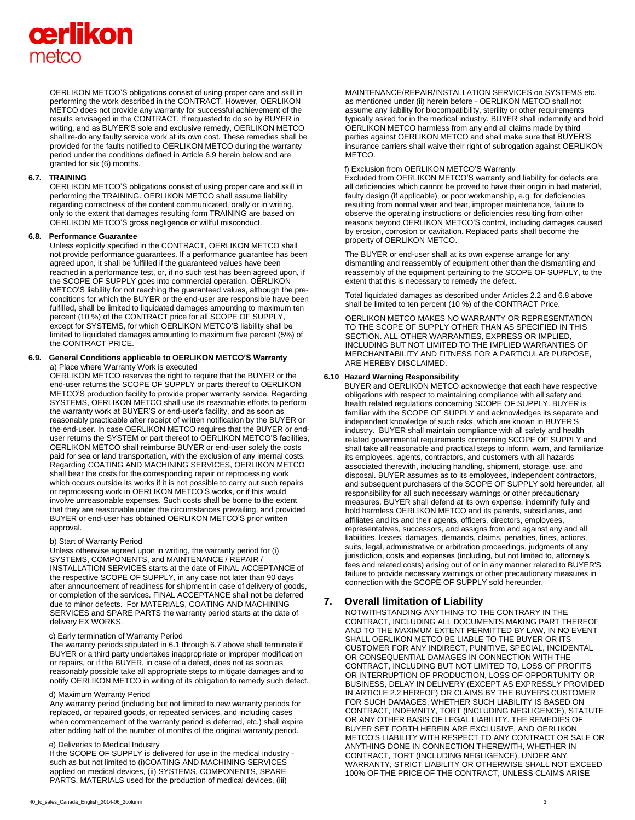# **cerlikon** metco

OERLIKON METCO'S obligations consist of using proper care and skill in performing the work described in the CONTRACT. However, OERLIKON METCO does not provide any warranty for successful achievement of the results envisaged in the CONTRACT. If requested to do so by BUYER in writing, and as BUYER'S sole and exclusive remedy, OERLIKON METCO shall re-do any faulty service work at its own cost. These remedies shall be provided for the faults notified to OERLIKON METCO during the warranty period under the conditions defined in Article 6.9 herein below and are granted for six (6) months.

#### **6.7. TRAINING**

OERLIKON METCO'S obligations consist of using proper care and skill in performing the TRAINING. OERLIKON METCO shall assume liability regarding correctness of the content communicated, orally or in writing, only to the extent that damages resulting form TRAINING are based on OERLIKON METCO'S gross negligence or willful misconduct.

#### **6.8. Performance Guarantee**

Unless explicitly specified in the CONTRACT, OERLIKON METCO shall not provide performance guarantees. If a performance guarantee has been agreed upon, it shall be fulfilled if the guaranteed values have been reached in a performance test, or, if no such test has been agreed upon, if the SCOPE OF SUPPLY goes into commercial operation. OERLIKON METCO'S liability for not reaching the guaranteed values, although the preconditions for which the BUYER or the end-user are responsible have been fulfilled, shall be limited to liquidated damages amounting to maximum ten percent (10 %) of the CONTRACT price for all SCOPE OF SUPPLY, except for SYSTEMS, for which OERLIKON METCO'S liability shall be limited to liquidated damages amounting to maximum five percent (5%) of the CONTRACT PRICE.

#### **6.9. General Conditions applicable to OERLIKON METCO'S Warranty**  a) Place where Warranty Work is executed

OERLIKON METCO reserves the right to require that the BUYER or the end-user returns the SCOPE OF SUPPLY or parts thereof to OERLIKON METCO'S production facility to provide proper warranty service. Regarding SYSTEMS, OERLIKON METCO shall use its reasonable efforts to perform the warranty work at BUYER'S or end-user's facility, and as soon as reasonably practicable after receipt of written notification by the BUYER or the end-user. In case OERLIKON METCO requires that the BUYER or enduser returns the SYSTEM or part thereof to OERLIKON METCO'S facilities, OERLIKON METCO shall reimburse BUYER or end-user solely the costs paid for sea or land transportation, with the exclusion of any internal costs. Regarding COATING AND MACHINING SERVICES, OERLIKON METCO shall bear the costs for the corresponding repair or reprocessing work which occurs outside its works if it is not possible to carry out such repairs or reprocessing work in OERLIKON METCO'S works, or if this would involve unreasonable expenses. Such costs shall be borne to the extent that they are reasonable under the circumstances prevailing, and provided BUYER or end-user has obtained OERLIKON METCO'S prior written approval.

#### b) Start of Warranty Period

Unless otherwise agreed upon in writing, the warranty period for (i) SYSTEMS, COMPONENTS, and MAINTENANCE / REPAIR / INSTALLATION SERVICES starts at the date of FINAL ACCEPTANCE of the respective SCOPE OF SUPPLY, in any case not later than 90 days after announcement of readiness for shipment in case of delivery of goods, or completion of the services. FINAL ACCEPTANCE shall not be deferred due to minor defects. For MATERIALS, COATING AND MACHINING SERVICES and SPARE PARTS the warranty period starts at the date of delivery EX WORKS.

# c) Early termination of Warranty Period

The warranty periods stipulated in 6.1 through 6.7 above shall terminate if BUYER or a third party undertakes inappropriate or improper modification or repairs, or if the BUYER, in case of a defect, does not as soon as reasonably possible take all appropriate steps to mitigate damages and to notify OERLIKON METCO in writing of its obligation to remedy such defect.

#### d) Maximum Warranty Period

Any warranty period (including but not limited to new warranty periods for replaced, or repaired goods, or repeated services, and including cases when commencement of the warranty period is deferred, etc.) shall expire after adding half of the number of months of the original warranty period.

## e) Deliveries to Medical Industry

If the SCOPE OF SUPPLY is delivered for use in the medical industry such as but not limited to (i)COATING AND MACHINING SERVICES applied on medical devices, (ii) SYSTEMS, COMPONENTS, SPARE PARTS, MATERIALS used for the production of medical devices, (iii)

MAINTENANCE/REPAIR/INSTALLATION SERVICES on SYSTEMS etc. as mentioned under (ii) herein before - OERLIKON METCO shall not assume any liability for biocompatibility, sterility or other requirements typically asked for in the medical industry. BUYER shall indemnify and hold OERLIKON METCO harmless from any and all claims made by third parties against OERLIKON METCO and shall make sure that BUYER'S insurance carriers shall waive their right of subrogation against OERLIKON **METCO** 

#### f) Exclusion from OERLIKON METCO'S Warranty

Excluded from OERLIKON METCO'S warranty and liability for defects are all deficiencies which cannot be proved to have their origin in bad material, faulty design (if applicable), or poor workmanship, e.g. for deficiencies resulting from normal wear and tear, improper maintenance, failure to observe the operating instructions or deficiencies resulting from other reasons beyond OERLIKON METCO'S control, including damages caused by erosion, corrosion or cavitation. Replaced parts shall become the property of OERLIKON METCO.

The BUYER or end-user shall at its own expense arrange for any dismantling and reassembly of equipment other than the dismantling and reassembly of the equipment pertaining to the SCOPE OF SUPPLY, to the extent that this is necessary to remedy the defect.

Total liquidated damages as described under Articles 2.2 and 6.8 above shall be limited to ten percent (10 %) of the CONTRACT Price.

OERLIKON METCO MAKES NO WARRANTY OR REPRESENTATION TO THE SCOPE OF SUPPLY OTHER THAN AS SPECIFIED IN THIS SECTION. ALL OTHER WARRANTIES, EXPRESS OR IMPLIED, INCLUDING BUT NOT LIMITED TO THE IMPLIED WARRANTIES OF MERCHANTABILITY AND FITNESS FOR A PARTICULAR PURPOSE, ARE HEREBY DISCLAIMED.

#### **6.10 Hazard Warning Responsibility**

BUYER and OERLIKON METCO acknowledge that each have respective obligations with respect to maintaining compliance with all safety and health related regulations concerning SCOPE OF SUPPLY. BUYER is familiar with the SCOPE OF SUPPLY and acknowledges its separate and independent knowledge of such risks, which are known in BUYER'S industry. BUYER shall maintain compliance with all safety and health related governmental requirements concerning SCOPE OF SUPPLY and shall take all reasonable and practical steps to inform, warn, and familiarize its employees, agents, contractors, and customers with all hazards associated therewith, including handling, shipment, storage, use, and disposal. BUYER assumes as to its employees, independent contractors, and subsequent purchasers of the SCOPE OF SUPPLY sold hereunder, all responsibility for all such necessary warnings or other precautionary measures. BUYER shall defend at its own expense, indemnify fully and hold harmless OERLIKON METCO and its parents, subsidiaries, and affiliates and its and their agents, officers, directors, employees, representatives, successors, and assigns from and against any and all liabilities, losses, damages, demands, claims, penalties, fines, actions, suits, legal, administrative or arbitration proceedings, judgments of any jurisdiction, costs and expenses (including, but not limited to, attorney's fees and related costs) arising out of or in any manner related to BUYER'S failure to provide necessary warnings or other precautionary measures in connection with the SCOPE OF SUPPLY sold hereunder.

# **7. Overall limitation of Liability**

NOTWITHSTANDING ANYTHING TO THE CONTRARY IN THE CONTRACT, INCLUDING ALL DOCUMENTS MAKING PART THEREOF AND TO THE MAXIMUM EXTENT PERMITTED BY LAW, IN NO EVENT SHALL OERLIKON METCO BE LIABLE TO THE BUYER OR ITS CUSTOMER FOR ANY INDIRECT, PUNITIVE, SPECIAL, INCIDENTAL OR CONSEQUENTIAL DAMAGES IN CONNECTION WITH THE CONTRACT, INCLUDING BUT NOT LIMITED TO, LOSS OF PROFITS OR INTERRUPTION OF PRODUCTION, LOSS OF OPPORTUNITY OR BUSINESS, DELAY IN DELIVERY (EXCEPT AS EXPRESSLY PROVIDED IN ARTICLE 2.2 HEREOF) OR CLAIMS BY THE BUYER'S CUSTOMER FOR SUCH DAMAGES, WHETHER SUCH LIABILITY IS BASED ON CONTRACT, INDEMNITY, TORT (INCLUDING NEGLIGENCE), STATUTE OR ANY OTHER BASIS OF LEGAL LIABILITY. THE REMEDIES OF BUYER SET FORTH HEREIN ARE EXCLUSIVE, AND OERLIKON METCO'S LIABILITY WITH RESPECT TO ANY CONTRACT OR SALE OR ANYTHING DONE IN CONNECTION THEREWITH, WHETHER IN CONTRACT, TORT (INCLUDING NEGLIGENCE), UNDER ANY WARRANTY, STRICT LIABILITY OR OTHERWISE SHALL NOT EXCEED 100% OF THE PRICE OF THE CONTRACT, UNLESS CLAIMS ARISE